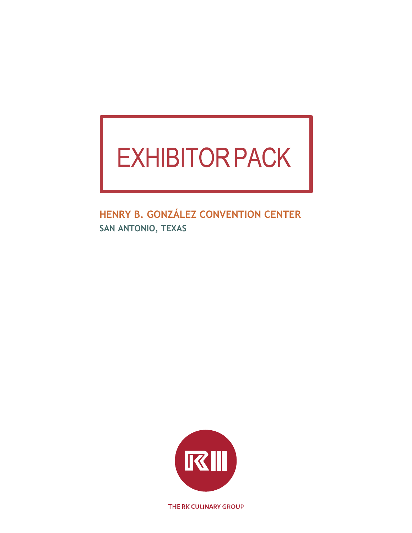# **EXHIBITOR PACK**

**HENRY B. GONZÁLEZ CONVENTION CENTER SAN ANTONIO, TEXAS**



THE RK CULINARY GROUP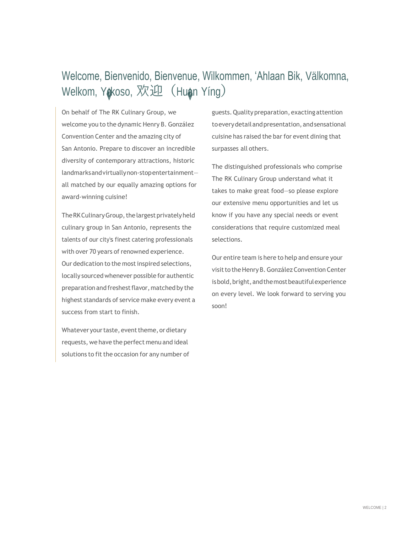# Welcome, Bienvenido, Bienvenue, Wilkommen, 'Ahlaan Bik, Välkomna, Welkom, Yokoso, 欢迎 (Huan Yíng)

On behalf of The RK Culinary Group, we welcome you to the dynamic Henry B. González Convention Center and the amazing city of San Antonio. Prepare to discover an incredible diversity of contemporary attractions, historic landmarksandvirtuallynon-stopentertainment all matched by our equally amazing options for award-winning cuisine!

The RK Culinary Group, the largest privately held culinary group in San Antonio, represents the talents of our city's finest catering professionals with over 70 years of renowned experience. Our dedication to the most inspired selections, locally sourced whenever possible for authentic preparation and freshest flavor, matched by the highest standards of service make every event a success from start to finish.

Whatever your taste, event theme, or dietary requests, we have the perfect menu and ideal solutions to fit the occasion for any number of guests.Qualitypreparation,exacting attention toeverydetailandpresentation,andsensational cuisine has raised the bar for event dining that surpasses all others.

The distinguished professionals who comprise The RK Culinary Group understand what it takes to make great food—so please explore our extensive menu opportunities and let us know if you have any special needs or event considerations that require customized meal selections.

Our entire team is here to help and ensure your visit to the Henry B. González Convention Center is bold, bright, and the most beautiful experience on every level. We look forward to serving you soon!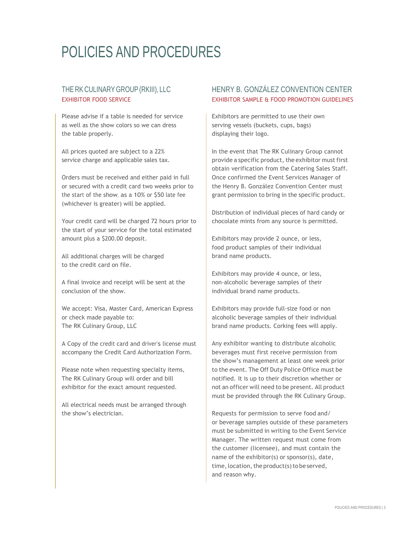# POLICIES AND PROCEDURES

# THE RK CULINARY GROUP (RKIII), LLC EXHIBITOR FOOD SERVICE

Please advise if a table is needed for service as well as the show colors so we can dress the table properly.

All prices quoted are subject to a 22% service charge and applicable sales tax.

Orders must be received and either paid in full or secured with a credit card two weeks prior to the start of the show, as a 10% or \$50 late fee (whichever is greater) will be applied.

Your credit card will be charged 72 hours prior to the start of your service for the total estimated amount plus a \$200.00 deposit.

All additional charges will be charged to the credit card on file.

A final invoice and receipt will be sent at the conclusion of the show.

We accept: Visa, Master Card, American Express or check made payable to: The RK Culinary Group, LLC

A Copy of the credit card and driver's license must accompany the Credit Card Authorization Form.

Please note when requesting specialty items, The RK Culinary Group will order and bill exhibitor for the exact amount requested.

All electrical needs must be arranged through the show's electrician.

# HENRY B. GONZÁLEZ CONVENTION CENTER EXHIBITOR SAMPLE & FOOD PROMOTION GUIDELINES

Exhibitors are permitted to use their own serving vessels (buckets, cups, bags) displaying their logo.

In the event that The RK Culinary Group cannot provide a specific product, the exhibitor must first obtain verification from the Catering Sales Staff. Once confirmed the Event Services Manager of the Henry B. González Convention Center must grant permission to bring in the specific product.

Distribution of individual pieces of hard candy or chocolate mints from any source is permitted.

Exhibitors may provide 2 ounce, or less, food product samples of their individual brand name products.

Exhibitors may provide 4 ounce, or less, non-alcoholic beverage samples of their individual brand name products.

Exhibitors may provide full-size food or non alcoholic beverage samples of their individual brand name products. Corking fees will apply.

Any exhibitor wanting to distribute alcoholic beverages must first receive permission from the show's management at least one week prior to the event. The Off Duty Police Office must be notified. It is up to their discretion whether or not an officer will need to be present. All product must be provided through the RK Culinary Group.

Requests for permission to serve food and/ or beverage samples outside of these parameters must be submitted in writing to the Event Service Manager. The written request must come from the customer (licensee), and must contain the name of the exhibitor(s) or sponsor(s), date, time, location, the product(s) to be served, and reason why.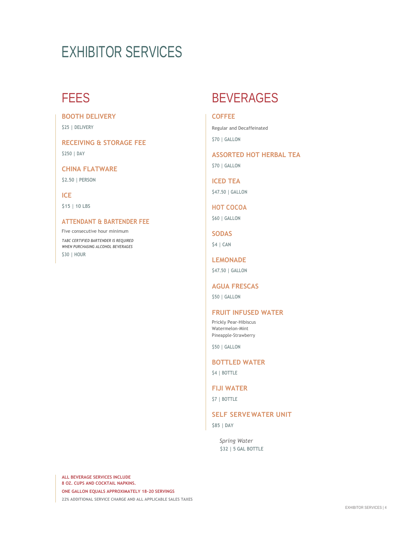**BOOTH DELIVERY**

**\$25 | DELIVERY**

**RECEIVING & STORAGE FEE \$250 | DAY**

**CHINA FLATWARE \$2.50 | PERSON**

**ICE \$15 | 10 LBS**

# **ATTENDANT & BARTENDER FEE**

Five consecutive hour minimum *TABC CERTIFIED BARTENDER IS REQUIRED WHEN PURCHASING ALCOHOL BEVERAGES*

**\$30 | HOUR**

# FEES BEVERAGES

# **COFFEE**

Regular and Decaffeinated

**\$70 | GALLON**

**ASSORTED HOT HERBAL TEA \$70 | GALLON**

**ICED TEA \$47.50 | GALLON**

**HOT COCOA**

**\$60 | GALLON**

**SODAS \$4 | CAN**

**LEMONADE \$47.50 | GALLON**

**AGUA FRESCAS**

**\$50 | GALLON**

# **FRUIT INFUSED WATER**

Prickly Pear-Hibiscus Watermelon-Mint Pineapple-Strawberry

**\$50 | GALLON**

# **BOTTLED WATER**

**\$4 | BOTTLE**

# **FIJI WATER**

**\$7 | BOTTLE**

# **SELF SERVEWATER UNIT**

**\$85 | DAY**

*Spring Water* **\$32 | 5 GAL BOTTLE**

**ALL BEVERAGE SERVICES INCLUDE 8 OZ. CUPS AND COCKTAIL NAPKINS. ONE GALLON EQUALS APPROXIMATELY 18–20 SERVINGS**

**22% ADDITIONAL SERVICE CHARGE AND ALL APPLICABLE SALES TAXES**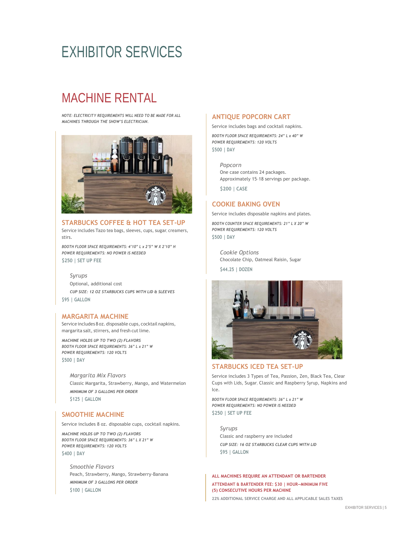# MACHINE RENTAL

*NOTE: ELECTRICITY REQUIREMENTS WILL NEED TO BE MADE FOR ALL MACHINES THROUGH THE SHOW'S ELECTRICIAN.*



**STARBUCKS COFFEE & HOT TEA SET-UP** Service includes Tazo tea bags, sleeves, cups, sugar, creamers, stirs.

*BOOTH FLOOR SPACE REQUIREMENTS: 4'10" L x 2'5" W X 2'10" H POWER REQUIREMENTS: NO POWER IS NEEDED* **\$250 | SET UP FEE**

### *Syrups*

Optional, additional cost *CUP SIZE: 12 OZ STARBUCKS CUPS WITH LID & SLEEVES* **\$95 | GALLON**

### **MARGARITA MACHINE**

Service includes 8 oz. disposable cups, cocktail napkins, margarita salt, stirrers, and fresh cut lime.

*MACHINE HOLDS UP TO TWO (2) FLAVORS BOOTH FLOOR SPACE REQUIREMENTS: 36" L x 21" W POWER REQUIREMENTS: 120 VOLTS* **\$500 | DAY**

*Margarita Mix Flavors* Classic Margarita, Strawberry, Mango, and Watermelon *MINIMUM OF 3 GALLONS PER ORDER* **\$125 | GALLON**

# **SMOOTHIE MACHINE**

Service includes 8 oz. disposable cups, cocktail napkins.

*MACHINE HOLDS UP TO TWO (2) FLAVORS BOOTH FLOOR SPACE REQUIREMENTS: 36" L X 21" W POWER REQUIREMENTS: 120 VOLTS* **\$400 | DAY**

*Smoothie Flavors* Peach, Strawberry, Mango, Strawberry-Banana *MINIMUM OF 3 GALLONS PER ORDER* **\$100 | GALLON**

### **ANTIQUE POPCORN CART**

Service includes bags and cocktail napkins.

*BOOTH FLOOR SPACE REQUIREMENTS: 24" L x 40" W POWER REQUIREMENTS: 120 VOLTS* **\$500 | DAY**

*Popcorn* One case contains 24 packages. Approximately 15–18 servings per package.

**\$200 | CASE**

### **COOKIE BAKING OVEN**

Service includes disposable napkins and plates.

*BOOTH COUNTER SPACE REQUIREMENTS: 21" L X 20" W POWER REQUIREMENTS: 120 VOLTS* **\$500 | DAY**

*Cookie Options* Chocolate Chip, Oatmeal Raisin, Sugar

**\$44.25 | DOZEN**



# **STARBUCKS ICED TEA SET-UP**

Service includes 3 Types of Tea, Passion, Zen, Black Tea, Clear Cups with Lids, Sugar, Classic and Raspberry Syrup, Napkins and Ice.

*BOOTH FLOOR SPACE REQUIREMENTS: 36" L x 21" W POWER REQUIREMENTS: NO POWER IS NEEDED* **\$250 | SET UP FEE**

*Syrups* Classic and raspberry are included *CUP SIZE: 16 OZ STARBUCKS CLEAR CUPS WITH LID* **\$95 | GALLON**

### **ALL MACHINES REQUIRE AN ATTENDANT OR BARTENDER ATTENDANT & BARTENDER FEE: \$30 | HOUR—MINIMUM FIVE (5) CONSECUTIVE HOURS PER MACHINE**

**22% ADDITIONAL SERVICE CHARGE AND ALL APPLICABLE SALES TAXES**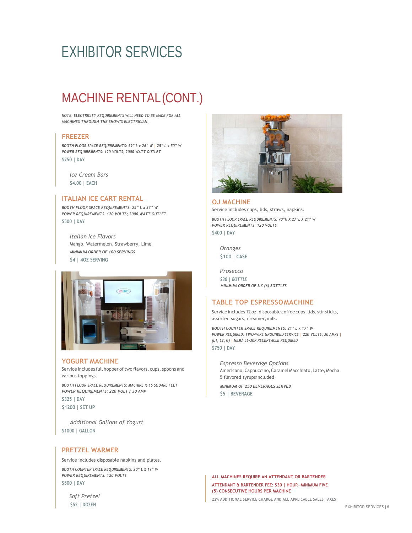# MACHINE RENTAL(CONT.)

*NOTE: ELECTRICITY REQUIREMENTS WILL NEED TO BE MADE FOR ALL MACHINES THROUGH THE SHOW'S ELECTRICIAN.*

### **FREEZER**

*BOOTH FLOOR SPACE REQUIREMENTS: 59" L x 26" W | 25" L x 50" W POWER REQUIREMENTS: 120 VOLTS; 2000 WATT OUTLET* **\$250 | DAY**

*Ice Cream Bars* **\$4.00 | EACH**

### **ITALIAN ICE CART RENTAL**

*BOOTH FLOOR SPACE REQUIREMENTS: 25" L x 33" W POWER REQUIREMENTS: 120 VOLTS; 2000 WATT OUTLET* **\$500 | DAY**

*Italian Ice Flavors* Mango, Watermelon, Strawberry, Lime *MINIMUM ORDER OF 100 SERVINGS* **\$4 | 4OZ SERVING**



# **YOGURT MACHINE**

Service includes full hopper of two flavors, cups, spoons and various toppings.

*BOOTH FLOOR SPACE REQUIREMENTS: MACHINE IS 15 SQUARE FEET POWER REQUIREMENTS: 220 VOLT / 30 AMP* **\$325 | DAY \$1200 | SET UP**

*Additional Gallons of Yogurt* **\$1000 | GALLON**

### **PRETZEL WARMER**

Service includes disposable napkins and plates. *BOOTH COUNTER SPACE REQUIREMENTS: 20" L X 19" W POWER REQUIREMENTS: 120 VOLTS* **\$500 | DAY**



### **OJ MACHINE**

Service includes cups, lids, straws, napkins.

*BOOTH FLOOR SPACE REQUIREMENTS: 70"H X 27"L X 21" W POWER REQUIREMENTS: 120 VOLTS* **\$400 | DAY**

*Oranges* **\$100 | CASE**

*Prosecco \$30 | BOTTLE MINIMUM ORDER OF SIX (6) BOTTLES*

### **TABLE TOP ESPRESSOMACHINE**

Service includes 12 oz. disposable coffee cups, lids, stir sticks, assorted sugars, creamer,milk.

*BOOTH COUNTER SPACE REQUIREMENTS: 21" L x 17" W POWER REQUIRED: TWO-WIRE GROUNDED SERVICE | 220 VOLTS; 30 AMPS | (L1, L2, G) | NEMA L6-30P RECEPTACLE REQUIRED* **\$750 | DAY**

*Espresso Beverage Options* Americano,Cappuccino,CaramelMacchiato, Latte,Mocha 5 flavored syrupsincluded

*MINIMUM OF 250 BEVERAGES SERVED* **\$5 | BEVERAGE**

**ALL MACHINES REQUIRE AN ATTENDANT OR BARTENDER ATTENDANT & BARTENDER FEE: \$30 | HOUR—MINIMUM FIVE (5) CONSECUTIVE HOURS PER MACHINE**

**22% ADDITIONAL SERVICE CHARGE AND ALL APPLICABLE SALES TAXES**

*Soft Pretzel* **\$52 | DOZEN**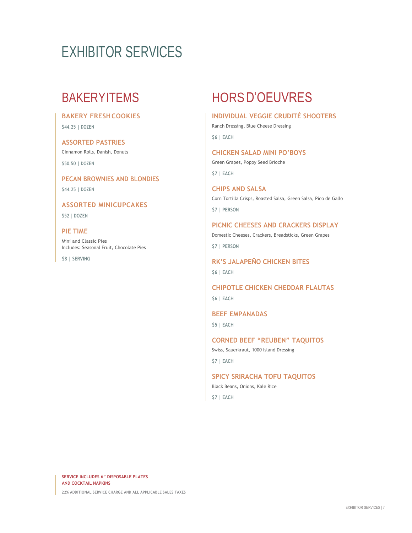# **BAKERY FRESHCOOKIES**

**\$44.25 | DOZEN**

# **ASSORTED PASTRIES**

Cinnamon Rolls, Danish, Donuts **\$50.50 | DOZEN**

**PECAN BROWNIES AND BLONDIES \$44.25 | DOZEN**

**ASSORTED MINICUPCAKES**

**\$52 | DOZEN**

# **PIE TIME**

Mini and Classic Pies Includes: Seasonal Fruit, Chocolate Pies

**\$8 | SERVING**

# BAKERYITEMS HORS D'OEUVRES

# **INDIVIDUAL VEGGIE CRUDITÉ SHOOTERS**

Ranch Dressing, Blue Cheese Dressing

**\$6 | EACH**

**CHICKEN SALAD MINI PO'BOYS** Green Grapes, Poppy Seed Brioche **\$7 | EACH**

**CHIPS AND SALSA** Corn Tortilla Crisps, Roasted Salsa, Green Salsa, Pico de Gallo **\$7 | PERSON**

### **PICNIC CHEESES AND CRACKERS DISPLAY**

Domestic Cheeses, Crackers, Breadsticks, Green Grapes **\$7 | PERSON**

**RK'S JALAPEÑO CHICKEN BITES \$6 | EACH**

**CHIPOTLE CHICKEN CHEDDAR FLAUTAS \$6 | EACH**

**BEEF EMPANADAS \$5 | EACH**

**CORNED BEEF "REUBEN" TAQUITOS** Swiss, Sauerkraut, 1000 Island Dressing

**\$7 | EACH**

**SPICY SRIRACHA TOFU TAQUITOS**

Black Beans, Onions, Kale Rice **\$7 | EACH**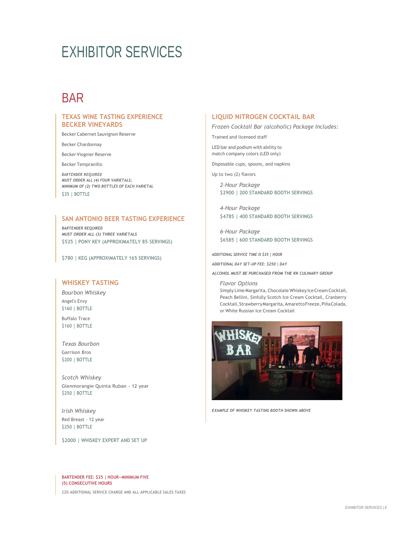# **BAR**

# **TEXAS WINE TASTING EXPERIENCE BECKER VINEYARDS**

Becker Cabernet Sauvignon Reserve

Becker Chardonnay

Becker Viognier Reserve

Becker Tempranillo

*BARTENDER REQUIRED MUST ORDER ALL (4) FOUR VARIETALS; MINIMUM OF (2) TWO BOTTLES OF EACH VARIETAL* **\$35 | BOTTLE**

### **SAN ANTONIO BEER TASTING EXPERIENCE**

*BARTENDER REQUIRED MUST ORDER ALL (3) THREE VARIETALS* **\$525 | PONY KEY (APPROXIMATELY 85 SERVINGS)**

**\$780 | KEG (APPROXIMATELY 165 SERVINGS)**

# **WHISKEY TASTING**

*Bourbon Whiskey* Angel's Envy **\$160 | BOTTLE**

Buffalo Trace **\$160 | BOTTLE**

*Texas Bourbon* Garrison Bros **\$200 | BOTTLE**

*Scotch Whiskey* Glenmorangie Quinta Ruban - 12 year **\$250 | BOTTLE**

*Irish Whiskey* Red Breast - 12 year **\$250 | BOTTLE**

**\$2000 | WHISKEY EXPERT AND SET UP**

### **LIQUID NITROGEN COCKTAIL BAR**

*Frozen Cocktail Bar (alcoholic) Package Includes:*

Trained and licensed staff

LED bar and podium with ability to match company colors (LED only)

Disposable cups, spoons, and napkins

Up to two (2) flavors

*2-Hour Package* **\$2900 | 200 STANDARD BOOTH SERVINGS**

*4-Hour Package* **\$4785 | 400 STANDARD BOOTH SERVINGS**

*6-Hour Package* **\$6585 | 600 STANDARD BOOTH SERVINGS**

*ADDITIONAL SERVICE TIME IS \$35 | HOUR* 

*ADDITIONAL DAY SET-UP FEE: \$250 | DAY*

*ALCOHOL MUST BE PURCHASED FROM THE RK CULINARY GROUP*

*Flavor Options* Simply Lime Margarita, Chocolate Whiskey Ice Cream Cocktail, Peach Bellini, Sinfully Scotch Ice Cream Cocktail, Cranberry Cocktail,StrawberryMargarita,AmarettoFreeze,PiñaColada, or White Russian Ice Cream Cocktail



*EXAMPLE OF WHISKEY TASTING BOOTH SHOWN ABOVE*

**(5) CONSECUTIVE HOURS 22% ADDITIONAL SERVICE CHARGE AND ALL APPLICABLE SALES TAXES BARTENDER FEE: \$25 | HOUR—MINIMUM FIVE**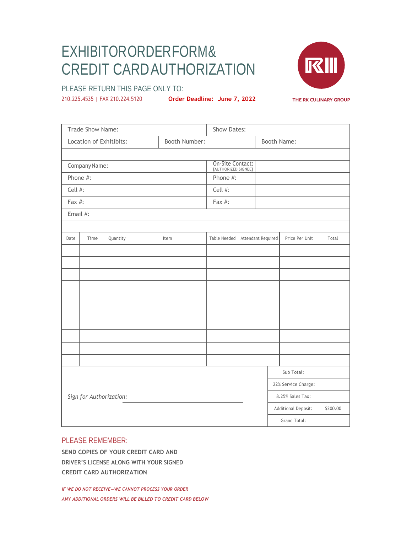# EXHIBITORORDER FORM & CREDIT CARD AUTHORIZATION



PLEASE RETURN THIS PAGE ONLY TO:

210.225.4535 | FAX 210.224.5120 **Order Deadline: June 7, 2022**

Trade Show Name: Show Dates: Show Dates: Location of Exhitibits: <br> Booth Number: <br> Booth Name: CompanyName: On-Site Contact: [AUTHORIZED SIGNEE] Phone #:  $\parallel$  Phone #: Cell #: Cell #: Fax #: Fax #: Email #: Date Time Quantity Item Item Table Needed Attendant Required Price Per Unit Total *Sign for Authorization:* Sub Total: 22% Service Charge: 8.25% Sales Tax: Additional Deposit: \$200.00 Grand Total:

# PLEASE REMEMBER:

**SEND COPIES OF YOUR CREDIT CARD AND DRIVER'S LICENSE ALONG WITH YOUR SIGNED CREDIT CARD AUTHORIZATION**

*IF WE DO NOT RECEIVE—WE CANNOT PROCESS YOUR ORDER ANY ADDITIONAL ORDERS WILL BE BILLED TO CREDIT CARD BELOW*